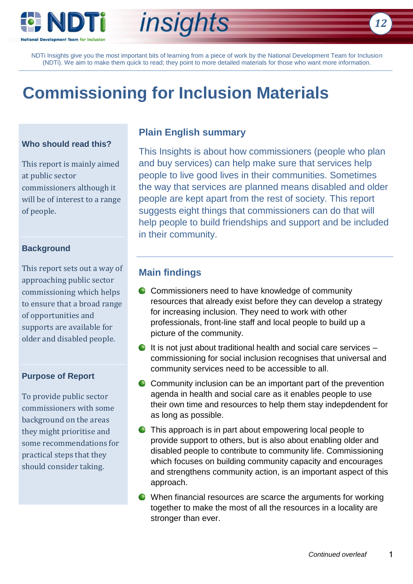

# *insights*

NDTi Insights give you the most important bits of learning from a piece of work by the National Development Team for Inclusion (NDTi). We aim to make them quick to read; they point to more detailed materials for those who want more information.

# **Commissioning for Inclusion Materials**

#### **Who should read this?**

This report is mainly aimed at public sector commissioners although it will be of interest to a range of people.

### **Background**

This report sets out a way of approaching public sector commissioning which helps to ensure that a broad range of opportunities and supports are available for older and disabled people.

#### **Purpose of Report**

To provide public sector commissioners with some background on the areas they might prioritise and some recommendations for practical steps that they should consider taking.

# **Plain English summary**

This Insights is about how commissioners (people who plan and buy services) can help make sure that services help people to live good lives in their communities. Sometimes the way that services are planned means disabled and older people are kept apart from the rest of society. This report suggests eight things that commissioners can do that will help people to build friendships and support and be included in their community.

### **Main findings**

- **C** Commissioners need to have knowledge of community resources that already exist before they can develop a strategy for increasing inclusion. They need to work with other professionals, front-line staff and local people to build up a picture of the community.
- $\bullet$  It is not just about traditional health and social care services  $$ commissioning for social inclusion recognises that universal and community services need to be accessible to all.
- **C** Community inclusion can be an important part of the prevention agenda in health and social care as it enables people to use their own time and resources to help them stay indepdendent for as long as possible.
- **O** This approach is in part about empowering local people to provide support to others, but is also about enabling older and disabled people to contribute to community life. Commissioning which focuses on building community capacity and encourages and strengthens community action, is an important aspect of this approach.
- When financial resources are scarce the arguments for working together to make the most of all the resources in a locality are stronger than ever.

*12*